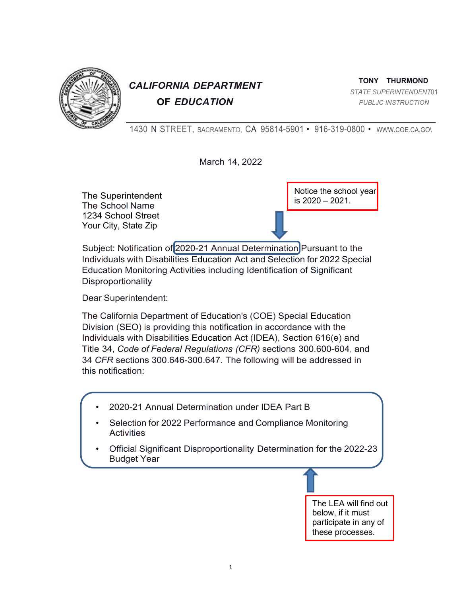

# *CALIFORNIA DEPARTMENT* **OF** *EDUCATION*

**TONY THURMOND** *STATE SUPERINTENDENT*01 *PUBLJC INSTRUCTION*

1430 N STREET, SACRAMENTO, CA 95814-5901 • 916-319-0800 • WWW.COE.CA.GO\

March 14, 2022

The Superintendent The School Name 1234 School Street Your City, State Zip

Notice the school year is 2020 – 2021.

Subject: Notification of 2020-21 Annual Determination Pursuant to the Individuals with Disabilities Education Act and Selection for 2022 Special Education Monitoring Activities including Identification of Significant **Disproportionality** 

Dear Superintendent:

The California Department of Education's (COE) Special Education Division (SEO) is providing this notification in accordance with the Individuals with Disabilities Education Act (IDEA), Section 616(e) and Title 34, *Code of Federal Regulations (CFR)* sections 300.600-604, and 34 *CFR* sections 300.646-300.647. The following will be addressed in this notification:

- 2020-21 Annual Determination under IDEA Part B
- Selection for 2022 Performance and Compliance Monitoring **Activities**
- Official Significant Disproportionality Determination for the 2022-23 Budget Year

The LEA will find out below, if it must participate in any of these processes.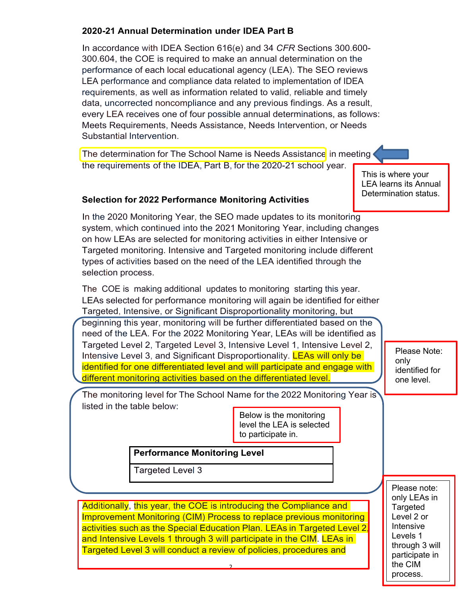## **2020-21 Annual Determination under IDEA Part B**

In accordance with IDEA Section 616(e) and 34 *CFR* Sections 300.600- 300.604, the COE is required to make an annual determination on the performance of each local educational agency (LEA). The SEO reviews LEA performance and compliance data related to implementation of IDEA requirements, as well as information related to valid, reliable and timely data, uncorrected noncompliance and any previous findings. As a result, every LEA receives one of four possible annual determinations, as follows: Meets Requirements, Needs Assistance, Needs Intervention, or Needs Substantial Intervention.

The determination for The School Name is Needs Assistance in meeting the requirements of the IDEA, Part B, for the 2020-21 school year.

This is where your LEA learns its Annual Determination status.

#### **Selection for 2022 Performance Monitoring Activities**

In the 2020 Monitoring Year, the SEO made updates to its monitoring system, which continued into the 2021 Monitoring Year, including changes on how LEAs are selected for monitoring activities in either Intensive or Targeted monitoring. Intensive and Targeted monitoring include different types of activities based on the need of the LEA identified through the selection process.

The COE is making additional updates to monitoring starting this year. LEAs selected for performance monitoring will again be identified for either Targeted, Intensive, or Significant Disproportionality monitoring, but

beginning this year, monitoring will be further differentiated based on the need of the LEA. For the 2022 Monitoring Year, LEAs will be identified as Targeted Level 2, Targeted Level 3, Intensive Level 1, Intensive Level 2, Intensive Level 3, and Significant Disproportionality. **LEAs will only be** identified for one differentiated level and will participate and engage with different monitoring activities based on the differentiated level.

Please Note: only identified for one level.

The monitoring level for The School Name for the 2022 Monitoring Year is listed in the table below:

> Below is the monitoring level the LEA is selected to participate in.

#### **Performance Monitoring Level**

**Targeted Level 3** 

Additionally, this year, the COE is introducing the Compliance and Improvement Monitoring (CIM) Process to replace previous monitoring activities such as the Special Education Plan. LEAs in Targeted Level 2, and Intensive Levels 1 through 3 will participate in the CIM. LEAs in Targeted Level 3 will conduct a review of policies, procedures and

2

Please note: only LEAs in Targeted Level 2 or Intensive Levels 1 through 3 will participate in the CIM process.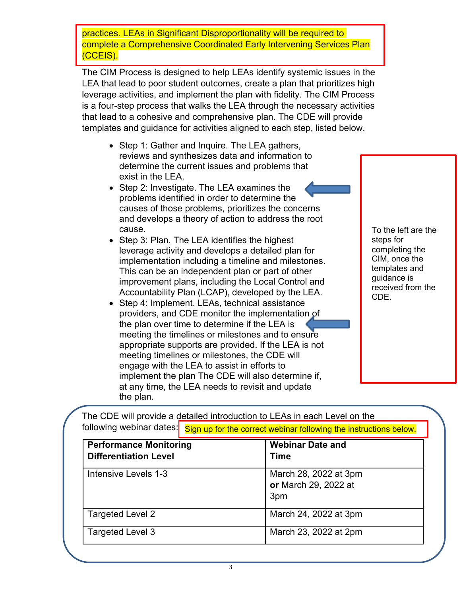practices. LEAs in Significant Disproportionality will be required to complete a Comprehensive Coordinated Early Intervening Services Plan (CCEIS).

The CIM Process is designed to help LEAs identify systemic issues in the LEA that lead to poor student outcomes, create a plan that prioritizes high leverage activities, and implement the plan with fidelity. The CIM Process is a four-step process that walks the LEA through the necessary activities that lead to a cohesive and comprehensive plan. The CDE will provide templates and guidance for activities aligned to each step, listed below.

- Step 1: Gather and Inquire. The LEA gathers, reviews and synthesizes data and information to determine the current issues and problems that exist in the LEA.
- Step 2: Investigate. The LEA examines the problems identified in order to determine the causes of those problems, prioritizes the concerns and develops a theory of action to address the root cause.
- Step 3: Plan. The LEA identifies the highest leverage activity and develops a detailed plan for implementation including a timeline and milestones. This can be an independent plan or part of other improvement plans, including the Local Control and Accountability Plan (LCAP), developed by the LEA.
- Step 4: Implement. LEAs, technical assistance providers, and CDE monitor the implementation of the plan over time to determine if the LEA is meeting the timelines or milestones and to ensure appropriate supports are provided. If the LEA is not meeting timelines or milestones, the CDE will engage with the LEA to assist in efforts to implement the plan The CDE will also determine if, at any time, the LEA needs to revisit and update the plan.

To the left are the steps for completing the CIM, once the templates and guidance is received from the CDE.

|                               | Sign up for the correct webinar following the instructions below. |
|-------------------------------|-------------------------------------------------------------------|
| <b>Performance Monitoring</b> | <b>Webinar Date and</b>                                           |
| <b>Differentiation Level</b>  | <b>Time</b>                                                       |
| Intensive Levels 1-3          | March 28, 2022 at 3pm                                             |
|                               | or March 29, 2022 at                                              |
|                               | 3pm                                                               |
| Targeted Level 2              | March 24, 2022 at 3pm                                             |
| <b>Targeted Level 3</b>       | March 23, 2022 at 2pm                                             |

The CDE will provide a detailed introduction to LEAs in each Level on the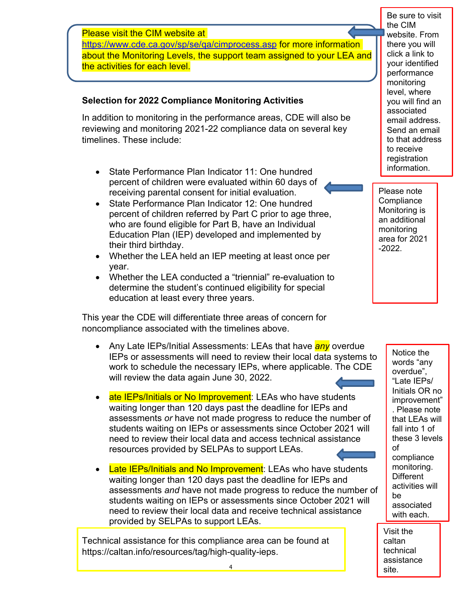Please visit the CIM website at https://www.cde.ca.gov/sp/se/qa/cimprocess.asp for more information about the Monitoring Levels, the support team assigned to your LEA and the activities for each level.

### **Selection for 2022 Compliance Monitoring Activities**

In addition to monitoring in the performance areas, CDE will also be reviewing and monitoring 2021-22 compliance data on several key timelines. These include:

- State Performance Plan Indicator 11: One hundred percent of children were evaluated within 60 days of receiving parental consent for initial evaluation.
- State Performance Plan Indicator 12: One hundred percent of children referred by Part C prior to age three, who are found eligible for Part B, have an Individual Education Plan (IEP) developed and implemented by their third birthday.
- Whether the LEA held an IEP meeting at least once per year.
- Whether the LEA conducted a "triennial" re-evaluation to determine the student's continued eligibility for special education at least every three years.

This year the CDE will differentiate three areas of concern for noncompliance associated with the timelines above.

- Any Late IEPs/Initial Assessments: LEAs that have *any* overdue IEPs or assessments will need to review their local data systems to work to schedule the necessary IEPs, where applicable. The CDE will review the data again June 30, 2022.
- ate IEPs/Initials or No Improvement: LEAs who have students waiting longer than 120 days past the deadline for IEPs and assessments *or* have not made progress to reduce the number of students waiting on IEPs or assessments since October 2021 will need to review their local data and access technical assistance resources provided by SELPAs to support LEAs.
- Late IEPs/Initials and No Improvement: LEAs who have students waiting longer than 120 days past the deadline for IEPs and assessments *and* have not made progress to reduce the number of students waiting on IEPs or assessments since October 2021 will need to review their local data and receive technical assistance provided by SELPAs to support LEAs.

Technical assistance for this compliance area can be found at https://caltan.info/resources/tag/high-quality-ieps.

Be sure to visit the CIM website. From there you will click a link to your identified performance monitoring level, where you will find an associated email address. Send an email to that address to receive registration information.

Please note **Compliance** Monitoring is an additional monitoring area for 2021 -2022.

> Notice the words "any overdue", "Late IEPs/ Initials OR no improvement" . Please note that LEAs will fall into 1 of these 3 levels of compliance monitoring. **Different** activities will be associated with each.

Visit the caltan technical assistance site.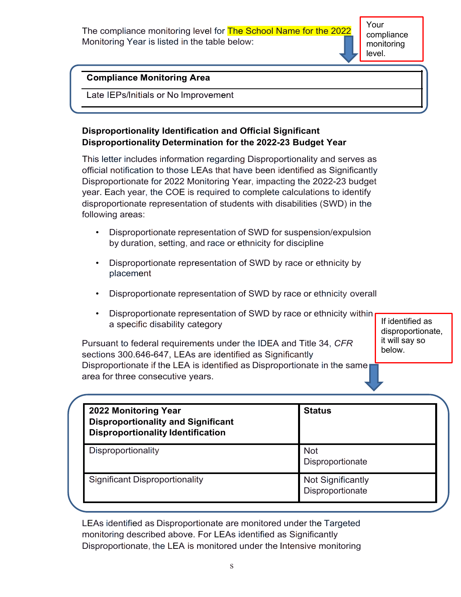The compliance monitoring level for **The School Name for the 2022** Monitoring Year is listed in the table below:

Your compliance monitoring level.

#### **Compliance Monitoring Area**

Late IEPs/Initials or No Improvement

## **Disproportionality Identification and Official Significant Disproportionality Determination for the 2022-23 Budget Year**

This letter includes information regarding Disproportionality and serves as official notification to those LEAs that have been identified as Significantly Disproportionate for 2022 Monitoring Year, impacting the 2022-23 budget year. Each year, the COE is required to complete calculations to identify disproportionate representation of students with disabilities (SWD) in the following areas:

- Disproportionate representation of SWD for suspension/expulsion by duration, setting, and race or ethnicity for discipline
- Disproportionate representation of SWD by race or ethnicity by placement
- Disproportionate representation of SWD by race or ethnicity overall
- Disproportionate representation of SWD by race or ethnicity within a specific disability category

Pursuant to federal requirements under the IDEA and Title 34, *CFR* sections 300.646-647, LEAs are identified as Significantly Disproportionate if the LEA is identified as Disproportionate in the same area for three consecutive years.

If identified as disproportionate, it will say so below.

| 2022 Monitoring Year<br><b>Disproportionality and Significant</b><br><b>Disproportionality Identification</b> | <b>Status</b>                                |  |
|---------------------------------------------------------------------------------------------------------------|----------------------------------------------|--|
| Disproportionality                                                                                            | <b>Not</b><br>Disproportionate               |  |
| <b>Significant Disproportionality</b>                                                                         | <b>Not Significantly</b><br>Disproportionate |  |

LEAs identified as Disproportionate are monitored under the Targeted monitoring described above. For LEAs identified as Significantly Disproportionate, the LEA is monitored under the Intensive monitoring